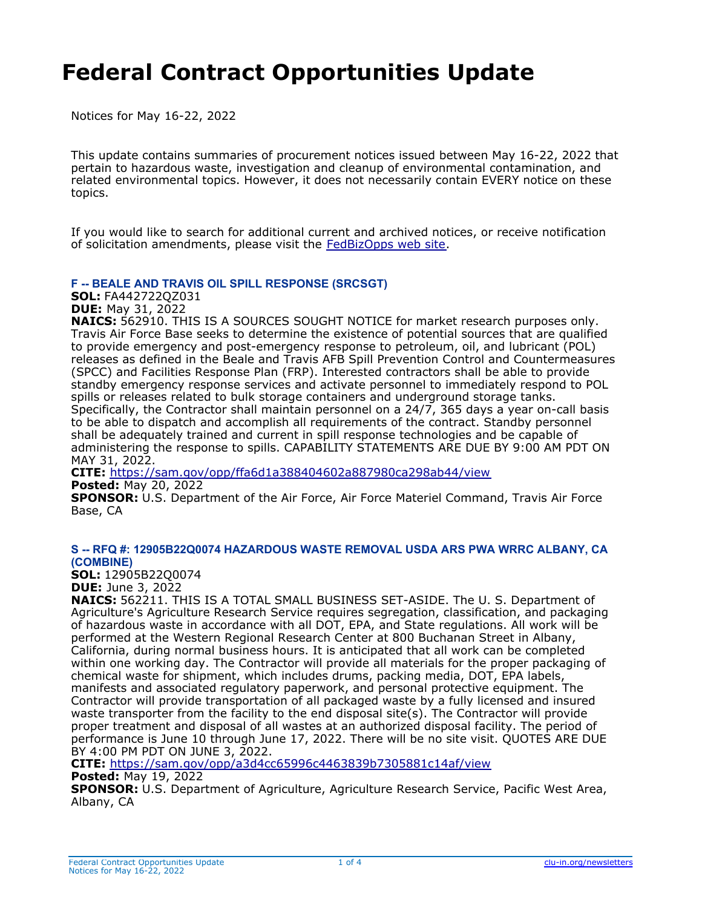# **Federal Contract Opportunities Update**

Notices for May 16-22, 2022

This update contains summaries of procurement notices issued between May 16-22, 2022 that pertain to hazardous waste, investigation and cleanup of environmental contamination, and related environmental topics. However, it does not necessarily contain EVERY notice on these topics.

If you would like to search for additional current and archived notices, or receive notification of solicitation amendments, please visit the [FedBizOpps web site](https://fbo.gov/).

#### **F -- BEALE AND TRAVIS OIL SPILL RESPONSE (SRCSGT)**

**SOL:** FA442722QZ031

**DUE:** May 31, 2022

**NAICS:** 562910. THIS IS A SOURCES SOUGHT NOTICE for market research purposes only. Travis Air Force Base seeks to determine the existence of potential sources that are qualified to provide emergency and post-emergency response to petroleum, oil, and lubricant (POL) releases as defined in the Beale and Travis AFB Spill Prevention Control and Countermeasures (SPCC) and Facilities Response Plan (FRP). Interested contractors shall be able to provide standby emergency response services and activate personnel to immediately respond to POL spills or releases related to bulk storage containers and underground storage tanks. Specifically, the Contractor shall maintain personnel on a 24/7, 365 days a year on-call basis to be able to dispatch and accomplish all requirements of the contract. Standby personnel shall be adequately trained and current in spill response technologies and be capable of administering the response to spills. CAPABILITY STATEMENTS ARE DUE BY 9:00 AM PDT ON MAY 31, 2022.

**CITE:** <https://sam.gov/opp/ffa6d1a388404602a887980ca298ab44/view> **Posted:** May 20, 2022

**SPONSOR:** U.S. Department of the Air Force, Air Force Materiel Command, Travis Air Force Base, CA

#### **S -- RFQ #: 12905B22Q0074 HAZARDOUS WASTE REMOVAL USDA ARS PWA WRRC ALBANY, CA (COMBINE)**

**SOL:** 12905B22Q0074 **DUE:** June 3, 2022

**NAICS:** 562211. THIS IS A TOTAL SMALL BUSINESS SET-ASIDE. The U. S. Department of Agriculture's Agriculture Research Service requires segregation, classification, and packaging of hazardous waste in accordance with all DOT, EPA, and State regulations. All work will be performed at the Western Regional Research Center at 800 Buchanan Street in Albany, California, during normal business hours. It is anticipated that all work can be completed within one working day. The Contractor will provide all materials for the proper packaging of chemical waste for shipment, which includes drums, packing media, DOT, EPA labels, manifests and associated regulatory paperwork, and personal protective equipment. The Contractor will provide transportation of all packaged waste by a fully licensed and insured waste transporter from the facility to the end disposal site(s). The Contractor will provide proper treatment and disposal of all wastes at an authorized disposal facility. The period of performance is June 10 through June 17, 2022. There will be no site visit. QUOTES ARE DUE BY 4:00 PM PDT ON JUNE 3, 2022.

**CITE:** <https://sam.gov/opp/a3d4cc65996c4463839b7305881c14af/view>

#### **Posted:** May 19, 2022

**SPONSOR:** U.S. Department of Agriculture, Agriculture Research Service, Pacific West Area, Albany, CA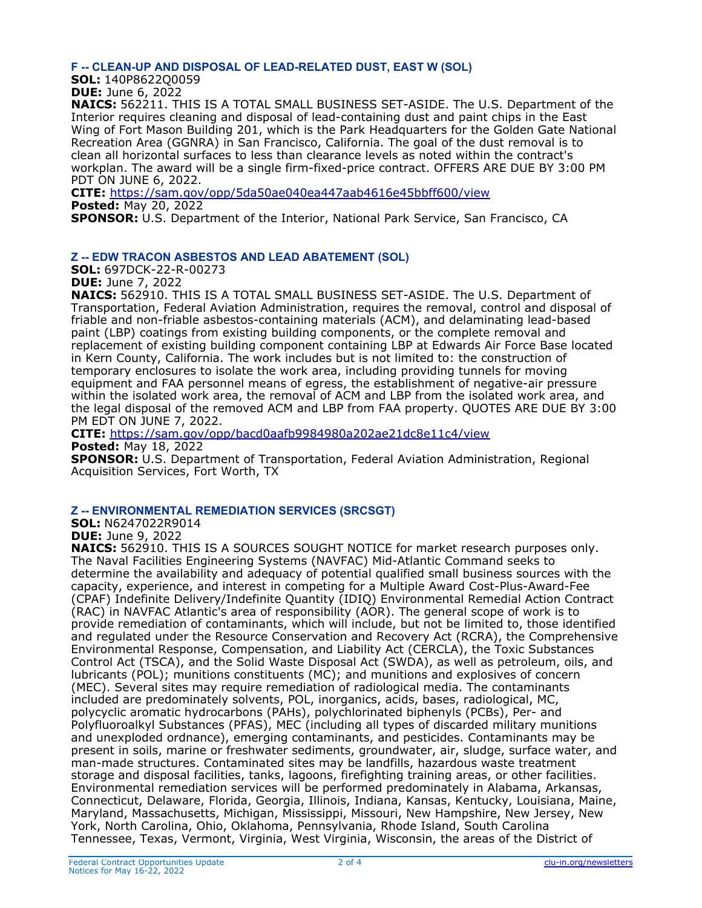#### **F -- CLEAN-UP AND DISPOSAL OF LEAD-RELATED DUST, EAST W (SOL)**

**SOL:** 140P8622Q0059 **DUE:** June 6, 2022

**NAICS:** 562211. THIS IS A TOTAL SMALL BUSINESS SET-ASIDE. The U.S. Department of the Interior requires cleaning and disposal of lead-containing dust and paint chips in the East Wing of Fort Mason Building 201, which is the Park Headquarters for the Golden Gate National Recreation Area (GGNRA) in San Francisco, California. The goal of the dust removal is to clean all horizontal surfaces to less than clearance levels as noted within the contract's workplan. The award will be a single firm-fixed-price contract. OFFERS ARE DUE BY 3:00 PM PDT ON JUNE 6, 2022.

**CITE:** <https://sam.gov/opp/5da50ae040ea447aab4616e45bbff600/view>

**Posted:** May 20, 2022

**SPONSOR:** U.S. Department of the Interior, National Park Service, San Francisco, CA

## **Z -- EDW TRACON ASBESTOS AND LEAD ABATEMENT (SOL)**

**SOL:** 697DCK-22-R-00273

**DUE:** June 7, 2022 **NAICS:** 562910. THIS IS A TOTAL SMALL BUSINESS SET-ASIDE. The U.S. Department of Transportation, Federal Aviation Administration, requires the removal, control and disposal of friable and non-friable asbestos-containing materials (ACM), and delaminating lead-based paint (LBP) coatings from existing building components, or the complete removal and replacement of existing building component containing LBP at Edwards Air Force Base located in Kern County, California. The work includes but is not limited to: the construction of temporary enclosures to isolate the work area, including providing tunnels for moving equipment and FAA personnel means of egress, the establishment of negative-air pressure within the isolated work area, the removal of ACM and LBP from the isolated work area, and the legal disposal of the removed ACM and LBP from FAA property. QUOTES ARE DUE BY 3:00

PM EDT ON JUNE 7, 2022. **CITE:** <https://sam.gov/opp/bacd0aafb9984980a202ae21dc8e11c4/view>

**Posted:** May 18, 2022

**SPONSOR:** U.S. Department of Transportation, Federal Aviation Administration, Regional Acquisition Services, Fort Worth, TX

# **Z -- ENVIRONMENTAL REMEDIATION SERVICES (SRCSGT)**

**SOL:** N6247022R9014

**DUE:** June 9, 2022

**NAICS:** 562910. THIS IS A SOURCES SOUGHT NOTICE for market research purposes only. The Naval Facilities Engineering Systems (NAVFAC) Mid-Atlantic Command seeks to determine the availability and adequacy of potential qualified small business sources with the capacity, experience, and interest in competing for a Multiple Award Cost-Plus-Award-Fee (CPAF) Indefinite Delivery/Indefinite Quantity (IDIQ) Environmental Remedial Action Contract (RAC) in NAVFAC Atlantic's area of responsibility (AOR). The general scope of work is to provide remediation of contaminants, which will include, but not be limited to, those identified and regulated under the Resource Conservation and Recovery Act (RCRA), the Comprehensive Environmental Response, Compensation, and Liability Act (CERCLA), the Toxic Substances Control Act (TSCA), and the Solid Waste Disposal Act (SWDA), as well as petroleum, oils, and lubricants (POL); munitions constituents (MC); and munitions and explosives of concern (MEC). Several sites may require remediation of radiological media. The contaminants included are predominately solvents, POL, inorganics, acids, bases, radiological, MC, polycyclic aromatic hydrocarbons (PAHs), polychlorinated biphenyls (PCBs), Per- and Polyfluoroalkyl Substances (PFAS), MEC (including all types of discarded military munitions and unexploded ordnance), emerging contaminants, and pesticides. Contaminants may be present in soils, marine or freshwater sediments, groundwater, air, sludge, surface water, and man-made structures. Contaminated sites may be landfills, hazardous waste treatment storage and disposal facilities, tanks, lagoons, firefighting training areas, or other facilities. Environmental remediation services will be performed predominately in Alabama, Arkansas, Connecticut, Delaware, Florida, Georgia, Illinois, Indiana, Kansas, Kentucky, Louisiana, Maine, Maryland, Massachusetts, Michigan, Mississippi, Missouri, New Hampshire, New Jersey, New York, North Carolina, Ohio, Oklahoma, Pennsylvania, Rhode Island, South Carolina Tennessee, Texas, Vermont, Virginia, West Virginia, Wisconsin, the areas of the District of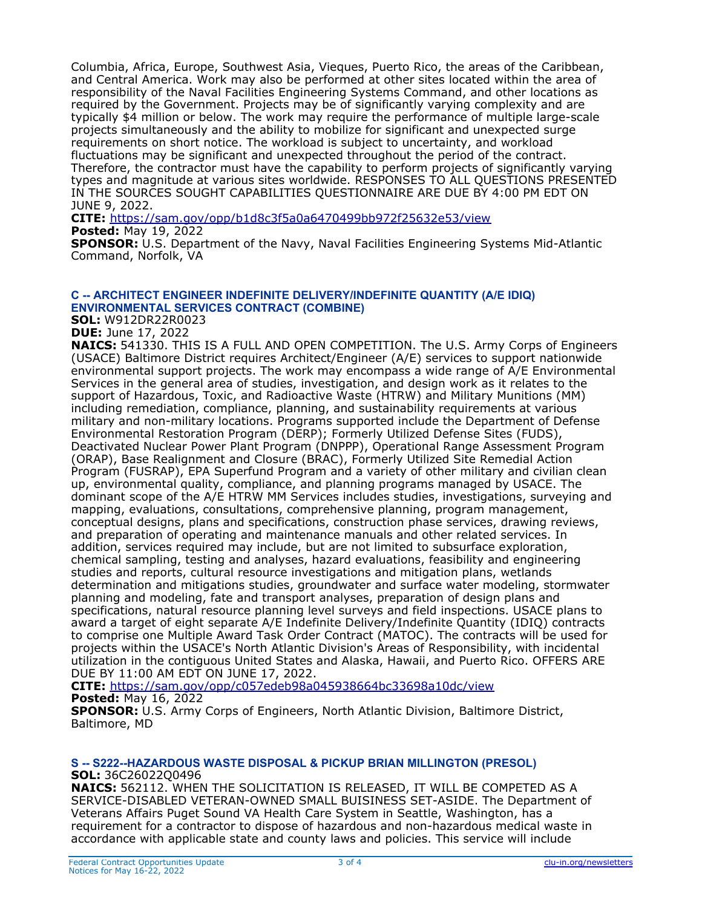Columbia, Africa, Europe, Southwest Asia, Vieques, Puerto Rico, the areas of the Caribbean, and Central America. Work may also be performed at other sites located within the area of responsibility of the Naval Facilities Engineering Systems Command, and other locations as required by the Government. Projects may be of significantly varying complexity and are typically \$4 million or below. The work may require the performance of multiple large-scale projects simultaneously and the ability to mobilize for significant and unexpected surge requirements on short notice. The workload is subject to uncertainty, and workload fluctuations may be significant and unexpected throughout the period of the contract. Therefore, the contractor must have the capability to perform projects of significantly varying types and magnitude at various sites worldwide. RESPONSES TO ALL QUESTIONS PRESENTED IN THE SOURCES SOUGHT CAPABILITIES QUESTIONNAIRE ARE DUE BY 4:00 PM EDT ON JUNE 9, 2022.

**CITE:** <https://sam.gov/opp/b1d8c3f5a0a6470499bb972f25632e53/view> **Posted:** May 19, 2022

**SPONSOR:** U.S. Department of the Navy, Naval Facilities Engineering Systems Mid-Atlantic Command, Norfolk, VA

#### **C -- ARCHITECT ENGINEER INDEFINITE DELIVERY/INDEFINITE QUANTITY (A/E IDIQ) ENVIRONMENTAL SERVICES CONTRACT (COMBINE)**

**SOL:** W912DR22R0023

### **DUE:** June 17, 2022

**NAICS:** 541330. THIS IS A FULL AND OPEN COMPETITION. The U.S. Army Corps of Engineers (USACE) Baltimore District requires Architect/Engineer (A/E) services to support nationwide environmental support projects. The work may encompass a wide range of A/E Environmental Services in the general area of studies, investigation, and design work as it relates to the support of Hazardous, Toxic, and Radioactive Waste (HTRW) and Military Munitions (MM) including remediation, compliance, planning, and sustainability requirements at various military and non-military locations. Programs supported include the Department of Defense Environmental Restoration Program (DERP); Formerly Utilized Defense Sites (FUDS), Deactivated Nuclear Power Plant Program (DNPPP), Operational Range Assessment Program (ORAP), Base Realignment and Closure (BRAC), Formerly Utilized Site Remedial Action Program (FUSRAP), EPA Superfund Program and a variety of other military and civilian clean up, environmental quality, compliance, and planning programs managed by USACE. The dominant scope of the A/E HTRW MM Services includes studies, investigations, surveying and mapping, evaluations, consultations, comprehensive planning, program management, conceptual designs, plans and specifications, construction phase services, drawing reviews, and preparation of operating and maintenance manuals and other related services. In addition, services required may include, but are not limited to subsurface exploration, chemical sampling, testing and analyses, hazard evaluations, feasibility and engineering studies and reports, cultural resource investigations and mitigation plans, wetlands determination and mitigations studies, groundwater and surface water modeling, stormwater planning and modeling, fate and transport analyses, preparation of design plans and specifications, natural resource planning level surveys and field inspections. USACE plans to award a target of eight separate A/E Indefinite Delivery/Indefinite Quantity (IDIQ) contracts to comprise one Multiple Award Task Order Contract (MATOC). The contracts will be used for projects within the USACE's North Atlantic Division's Areas of Responsibility, with incidental utilization in the contiguous United States and Alaska, Hawaii, and Puerto Rico. OFFERS ARE DUE BY 11:00 AM EDT ON JUNE 17, 2022.

**CITE:** <https://sam.gov/opp/c057edeb98a045938664bc33698a10dc/view>

# **Posted:** May 16, 2022

**SPONSOR:** U.S. Army Corps of Engineers, North Atlantic Division, Baltimore District, Baltimore, MD

#### **S -- S222--HAZARDOUS WASTE DISPOSAL & PICKUP BRIAN MILLINGTON (PRESOL) SOL:** 36C26022Q0496

**NAICS:** 562112. WHEN THE SOLICITATION IS RELEASED, IT WILL BE COMPETED AS A SERVICE-DISABLED VETERAN-OWNED SMALL BUISINESS SET-ASIDE. The Department of Veterans Affairs Puget Sound VA Health Care System in Seattle, Washington, has a requirement for a contractor to dispose of hazardous and non-hazardous medical waste in accordance with applicable state and county laws and policies. This service will include